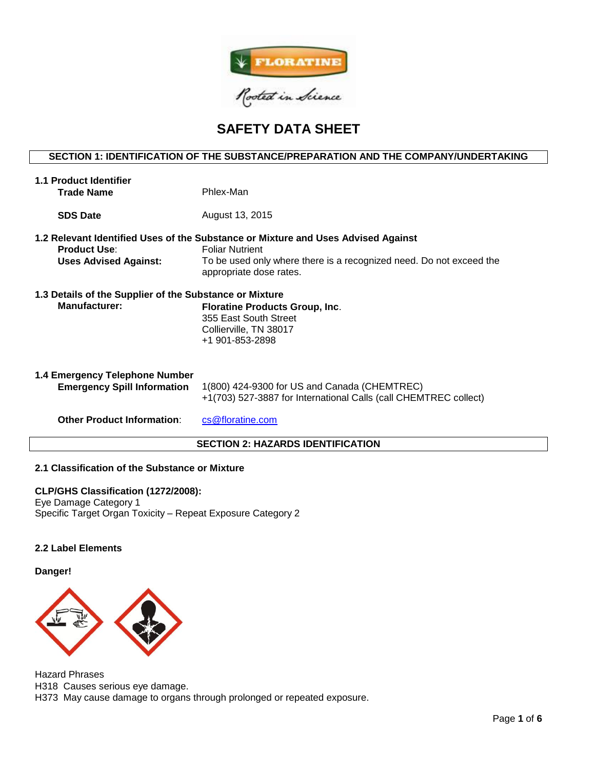

# **SAFETY DATA SHEET**

# **SECTION 1: IDENTIFICATION OF THE SUBSTANCE/PREPARATION AND THE COMPANY/UNDERTAKING**

| <b>1.1 Product Identifier</b><br><b>Trade Name</b>                              | Phlex-Man                                                                                                                                                                                                     |
|---------------------------------------------------------------------------------|---------------------------------------------------------------------------------------------------------------------------------------------------------------------------------------------------------------|
| <b>SDS Date</b>                                                                 | August 13, 2015                                                                                                                                                                                               |
| <b>Product Use:</b><br><b>Uses Advised Against:</b>                             | 1.2 Relevant Identified Uses of the Substance or Mixture and Uses Advised Against<br><b>Foliar Nutrient</b><br>To be used only where there is a recognized need. Do not exceed the<br>appropriate dose rates. |
| 1.3 Details of the Supplier of the Substance or Mixture<br><b>Manufacturer:</b> | <b>Floratine Products Group, Inc.</b><br>355 East South Street<br>Collierville, TN 38017<br>+1 901-853-2898                                                                                                   |
| 1.4 Emergency Telephone Number<br><b>Emergency Spill Information</b>            | 1(800) 424-9300 for US and Canada (CHEMTREC)<br>+1(703) 527-3887 for International Calls (call CHEMTREC collect)                                                                                              |
| <b>Other Product Information:</b>                                               | cs@floratine.com                                                                                                                                                                                              |

# **SECTION 2: HAZARDS IDENTIFICATION**

## **2.1 Classification of the Substance or Mixture**

**CLP/GHS Classification (1272/2008):**  Eye Damage Category 1 Specific Target Organ Toxicity – Repeat Exposure Category 2

## **2.2 Label Elements**

#### **Danger!**



Hazard Phrases H318 Causes serious eye damage. H373 May cause damage to organs through prolonged or repeated exposure.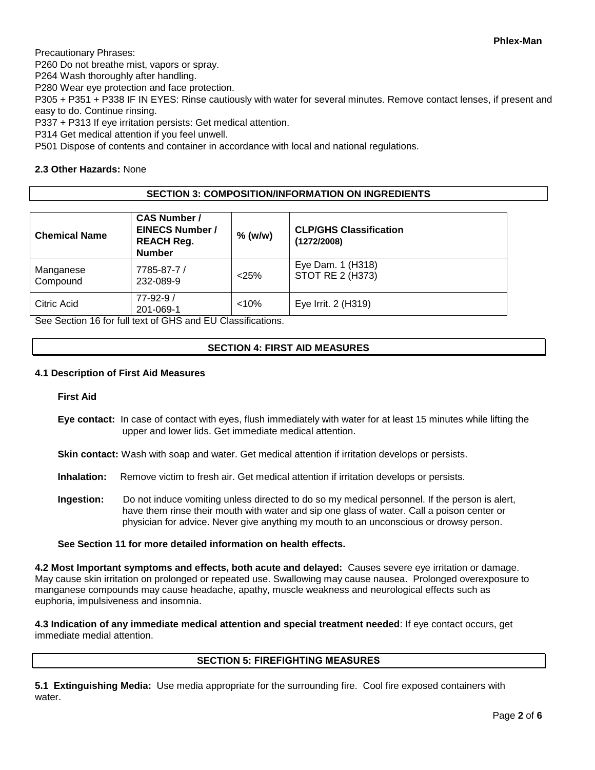Precautionary Phrases:

P260 Do not breathe mist, vapors or spray.

P264 Wash thoroughly after handling.

P280 Wear eye protection and face protection.

P305 + P351 + P338 IF IN EYES: Rinse cautiously with water for several minutes. Remove contact lenses, if present and easy to do. Continue rinsing.

P337 + P313 If eye irritation persists: Get medical attention.

P314 Get medical attention if you feel unwell.

P501 Dispose of contents and container in accordance with local and national regulations.

# **2.3 Other Hazards:** None

# **SECTION 3: COMPOSITION/INFORMATION ON INGREDIENTS**

| <b>Chemical Name</b>  | <b>CAS Number /</b><br><b>EINECS Number /</b><br><b>REACH Reg.</b><br><b>Number</b> | $%$ (w/w) | <b>CLP/GHS Classification</b><br>(1272/2008) |
|-----------------------|-------------------------------------------------------------------------------------|-----------|----------------------------------------------|
| Manganese<br>Compound | 7785-87-7 /<br>232-089-9                                                            | < 25%     | Eye Dam. 1 (H318)<br>STOT RE 2 (H373)        |
| Citric Acid           | $77 - 92 - 9/$<br>201-069-1                                                         | < 10%     | Eye Irrit. 2 (H319)                          |

See Section 16 for full text of GHS and EU Classifications.

# **SECTION 4: FIRST AID MEASURES**

### **4.1 Description of First Aid Measures**

**First Aid**

**Eye contact:** In case of contact with eyes, flush immediately with water for at least 15 minutes while lifting the upper and lower lids. Get immediate medical attention.

**Skin contact:** Wash with soap and water. Get medical attention if irritation develops or persists.

- **Inhalation:** Remove victim to fresh air. Get medical attention if irritation develops or persists.
- **Ingestion:** Do not induce vomiting unless directed to do so my medical personnel. If the person is alert, have them rinse their mouth with water and sip one glass of water. Call a poison center or physician for advice. Never give anything my mouth to an unconscious or drowsy person.

## **See Section 11 for more detailed information on health effects.**

**4.2 Most Important symptoms and effects, both acute and delayed:** Causes severe eye irritation or damage. May cause skin irritation on prolonged or repeated use. Swallowing may cause nausea. Prolonged overexposure to manganese compounds may cause headache, apathy, muscle weakness and neurological effects such as euphoria, impulsiveness and insomnia.

**4.3 Indication of any immediate medical attention and special treatment needed**: If eye contact occurs, get immediate medial attention.

# **SECTION 5: FIREFIGHTING MEASURES**

**5.1 Extinguishing Media:** Use media appropriate for the surrounding fire. Cool fire exposed containers with water.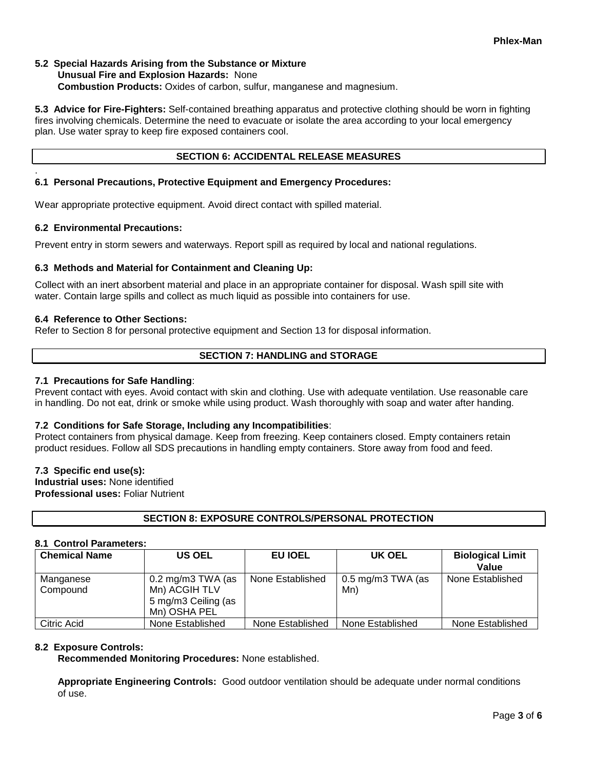## **5.2 Special Hazards Arising from the Substance or Mixture Unusual Fire and Explosion Hazards:** None **Combustion Products:** Oxides of carbon, sulfur, manganese and magnesium.

**5.3 Advice for Fire-Fighters:** Self-contained breathing apparatus and protective clothing should be worn in fighting fires involving chemicals. Determine the need to evacuate or isolate the area according to your local emergency plan. Use water spray to keep fire exposed containers cool.

## **SECTION 6: ACCIDENTAL RELEASE MEASURES**

## **6.1 Personal Precautions, Protective Equipment and Emergency Procedures:**

Wear appropriate protective equipment. Avoid direct contact with spilled material.

#### **6.2 Environmental Precautions:**

.

Prevent entry in storm sewers and waterways. Report spill as required by local and national regulations.

#### **6.3 Methods and Material for Containment and Cleaning Up:**

Collect with an inert absorbent material and place in an appropriate container for disposal. Wash spill site with water. Contain large spills and collect as much liquid as possible into containers for use.

#### **6.4 Reference to Other Sections:**

Refer to Section 8 for personal protective equipment and Section 13 for disposal information.

#### **SECTION 7: HANDLING and STORAGE**

#### **7.1 Precautions for Safe Handling**:

Prevent contact with eyes. Avoid contact with skin and clothing. Use with adequate ventilation. Use reasonable care in handling. Do not eat, drink or smoke while using product. Wash thoroughly with soap and water after handing.

#### **7.2 Conditions for Safe Storage, Including any Incompatibilities**:

Protect containers from physical damage. Keep from freezing. Keep containers closed. Empty containers retain product residues. Follow all SDS precautions in handling empty containers. Store away from food and feed.

#### **7.3 Specific end use(s):**

**Industrial uses:** None identified **Professional uses:** Foliar Nutrient

## **SECTION 8: EXPOSURE CONTROLS/PERSONAL PROTECTION**

## **8.1 Control Parameters:**

| <b>Chemical Name</b>  | <b>US OEL</b>                                                                               | EU IOEL          | UK OEL                                 | <b>Biological Limit</b><br>Value |
|-----------------------|---------------------------------------------------------------------------------------------|------------------|----------------------------------------|----------------------------------|
| Manganese<br>Compound | $0.2 \text{ mg/m}3 \text{ TWA}$ (as<br>Mn) ACGIH TLV<br>5 mg/m3 Ceiling (as<br>Mn) OSHA PEL | None Established | $0.5 \,\mathrm{mg/m}$ 3 TWA (as<br>Mn) | None Established                 |
| Citric Acid           | None Established                                                                            | None Established | None Established                       | None Established                 |

## **8.2 Exposure Controls:**

**Recommended Monitoring Procedures:** None established.

**Appropriate Engineering Controls:** Good outdoor ventilation should be adequate under normal conditions of use.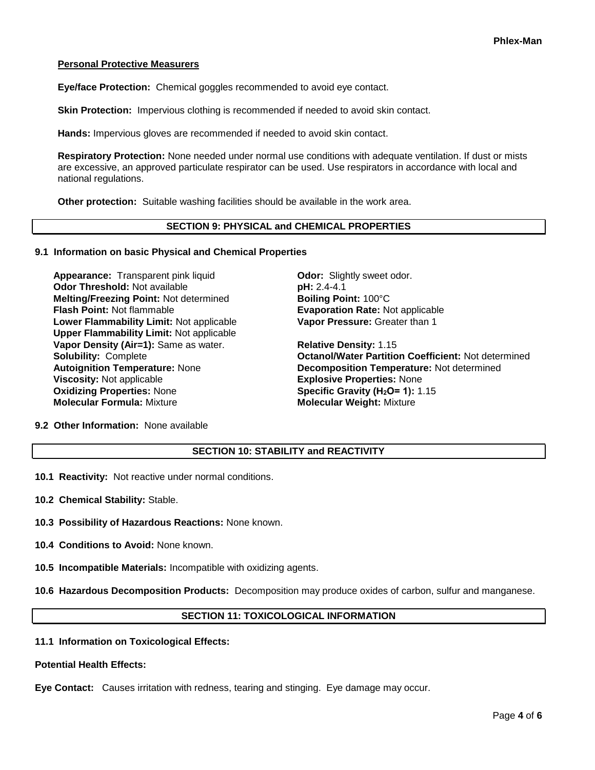## **Personal Protective Measurers**

**Eye/face Protection:** Chemical goggles recommended to avoid eye contact.

**Skin Protection:** Impervious clothing is recommended if needed to avoid skin contact.

**Hands:** Impervious gloves are recommended if needed to avoid skin contact.

**Respiratory Protection:** None needed under normal use conditions with adequate ventilation. If dust or mists are excessive, an approved particulate respirator can be used. Use respirators in accordance with local and national regulations.

**Other protection:** Suitable washing facilities should be available in the work area.

## **SECTION 9: PHYSICAL and CHEMICAL PROPERTIES**

#### **9.1 Information on basic Physical and Chemical Properties**

**Appearance:** Transparent pink liquid **Odor:** Slightly sweet odor. **Odor Threshold:** Not available **pH: 2.4-4.1 Melting/Freezing Point: Not determined <b>Boiling Point:** 100°C **Flash Point:** Not flammable **Evaporation Rate:** Not applicable **Lower Flammability Limit:** Not applicable **Upper Flammability Limit:** Not applicable **Vapor Density (Air=1):** Same as water. **Relative Density:** 1.15 **Viscosity:** Not applicable **Explosive Properties:** None **Oxidizing Properties:** None **Specific Gravity (H2O= 1):** 1.15 **Molecular Formula:** Mixture **Molecular Weight:** Mixture

**Vapor Pressure:** Greater than 1

**Solubility:** Complete **Octanol/Water Partition Coefficient:** Not determined **Autoignition Temperature:** None **Decomposition Temperature:** Not determined

**9.2 Other Information:** None available

## **SECTION 10: STABILITY and REACTIVITY**

**10.1 Reactivity:** Not reactive under normal conditions.

**10.2 Chemical Stability:** Stable.

**10.3 Possibility of Hazardous Reactions:** None known.

**10.4 Conditions to Avoid:** None known.

**10.5 Incompatible Materials:** Incompatible with oxidizing agents.

**10.6 Hazardous Decomposition Products:** Decomposition may produce oxides of carbon, sulfur and manganese.

# **SECTION 11: TOXICOLOGICAL INFORMATION**

#### **11.1 Information on Toxicological Effects:**

#### **Potential Health Effects:**

**Eye Contact:** Causes irritation with redness, tearing and stinging. Eye damage may occur.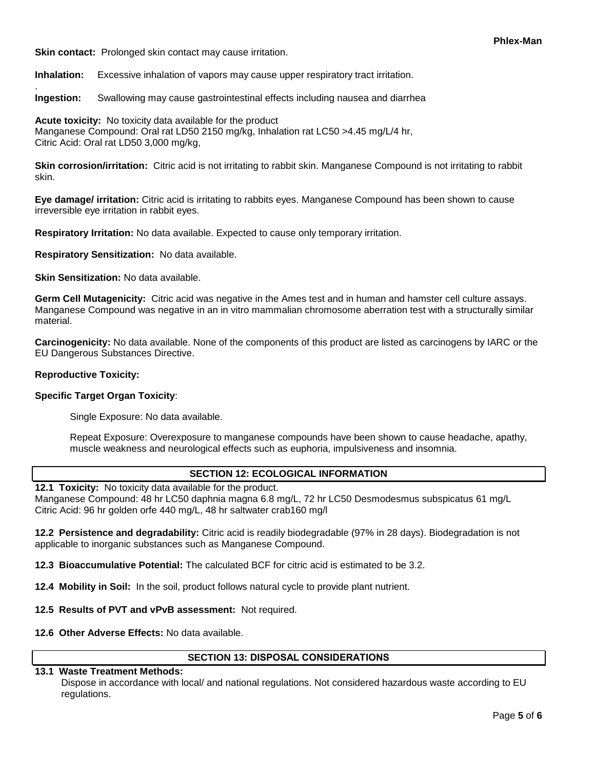**Skin contact:** Prolonged skin contact may cause irritation.

**Inhalation:** Excessive inhalation of vapors may cause upper respiratory tract irritation.

**Ingestion:** Swallowing may cause gastrointestinal effects including nausea and diarrhea

**Acute toxicity:** No toxicity data available for the product Manganese Compound: Oral rat LD50 2150 mg/kg, Inhalation rat LC50 >4.45 mg/L/4 hr, Citric Acid: Oral rat LD50 3,000 mg/kg,

**Skin corrosion/irritation:** Citric acid is not irritating to rabbit skin. Manganese Compound is not irritating to rabbit skin.

**Eye damage/ irritation:** Citric acid is irritating to rabbits eyes. Manganese Compound has been shown to cause irreversible eye irritation in rabbit eyes.

**Respiratory Irritation:** No data available. Expected to cause only temporary irritation.

**Respiratory Sensitization:** No data available.

**Skin Sensitization:** No data available.

**Germ Cell Mutagenicity:** Citric acid was negative in the Ames test and in human and hamster cell culture assays. Manganese Compound was negative in an in vitro mammalian chromosome aberration test with a structurally similar material.

**Carcinogenicity:** No data available. None of the components of this product are listed as carcinogens by IARC or the EU Dangerous Substances Directive.

## **Reproductive Toxicity:**

.

## **Specific Target Organ Toxicity**:

Single Exposure: No data available.

Repeat Exposure: Overexposure to manganese compounds have been shown to cause headache, apathy, muscle weakness and neurological effects such as euphoria, impulsiveness and insomnia.

## **SECTION 12: ECOLOGICAL INFORMATION**

**12.1 Toxicity:** No toxicity data available for the product. Manganese Compound: 48 hr LC50 daphnia magna 6.8 mg/L, 72 hr LC50 Desmodesmus subspicatus 61 mg/L

Citric Acid: 96 hr golden orfe 440 mg/L, 48 hr saltwater crab160 mg/l

**12.2 Persistence and degradability:** Citric acid is readily biodegradable (97% in 28 days). Biodegradation is not applicable to inorganic substances such as Manganese Compound.

**12.3 Bioaccumulative Potential:** The calculated BCF for citric acid is estimated to be 3.2.

**12.4 Mobility in Soil:** In the soil, product follows natural cycle to provide plant nutrient.

**12.5 Results of PVT and vPvB assessment:** Not required.

**12.6 Other Adverse Effects:** No data available.

## **SECTION 13: DISPOSAL CONSIDERATIONS**

# **13.1 Waste Treatment Methods:**

Dispose in accordance with local/ and national regulations. Not considered hazardous waste according to EU regulations.